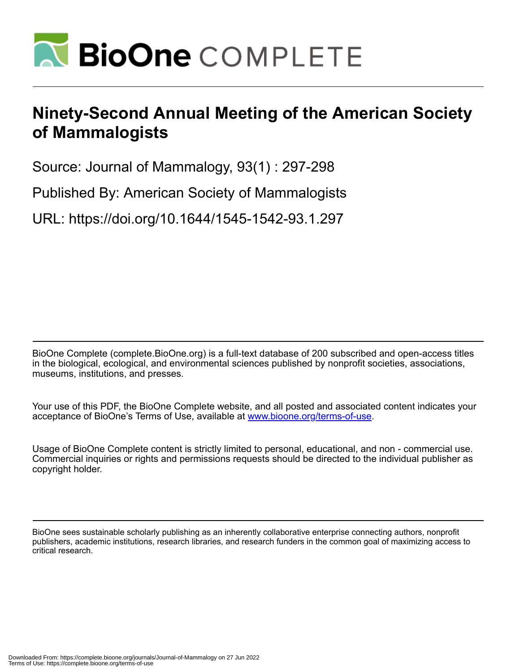

## **Ninety-Second Annual Meeting of the American Society of Mammalogists**

Source: Journal of Mammalogy, 93(1) : 297-298

Published By: American Society of Mammalogists

URL: https://doi.org/10.1644/1545-1542-93.1.297

BioOne Complete (complete.BioOne.org) is a full-text database of 200 subscribed and open-access titles in the biological, ecological, and environmental sciences published by nonprofit societies, associations, museums, institutions, and presses.

Your use of this PDF, the BioOne Complete website, and all posted and associated content indicates your acceptance of BioOne's Terms of Use, available at www.bioone.org/terms-of-use.

Usage of BioOne Complete content is strictly limited to personal, educational, and non - commercial use. Commercial inquiries or rights and permissions requests should be directed to the individual publisher as copyright holder.

BioOne sees sustainable scholarly publishing as an inherently collaborative enterprise connecting authors, nonprofit publishers, academic institutions, research libraries, and research funders in the common goal of maximizing access to critical research.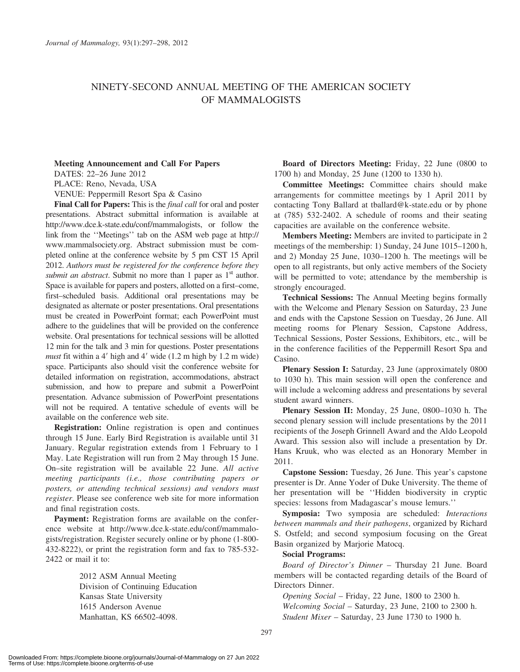## NINETY-SECOND ANNUAL MEETING OF THE AMERICAN SOCIETY OF MAMMALOGISTS

## Meeting Announcement and Call For Papers

DATES: 22–26 June 2012

PLACE: Reno, Nevada, USA

VENUE: Peppermill Resort Spa & Casino

Final Call for Papers: This is the *final call* for oral and poster presentations. Abstract submittal information is available at http://www.dce.k-state.edu/conf/mammalogists, or follow the link from the ''Meetings'' tab on the ASM web page at http:// www.mammalsociety.org. Abstract submission must be completed online at the conference website by 5 pm CST 15 April 2012. Authors must be registered for the conference before they submit an abstract. Submit no more than 1 paper as  $1<sup>st</sup>$  author. Space is available for papers and posters, allotted on a first–come, first–scheduled basis. Additional oral presentations may be designated as alternate or poster presentations. Oral presentations must be created in PowerPoint format; each PowerPoint must adhere to the guidelines that will be provided on the conference website. Oral presentations for technical sessions will be allotted 12 min for the talk and 3 min for questions. Poster presentations must fit within a 4' high and 4' wide  $(1.2 \text{ m high by } 1.2 \text{ m wide})$ space. Participants also should visit the conference website for detailed information on registration, accommodations, abstract submission, and how to prepare and submit a PowerPoint presentation. Advance submission of PowerPoint presentations will not be required. A tentative schedule of events will be available on the conference web site.

Registration: Online registration is open and continues through 15 June. Early Bird Registration is available until 31 January. Regular registration extends from 1 February to 1 May. Late Registration will run from 2 May through 15 June. On–site registration will be available 22 June. All active meeting participants (i.e., those contributing papers or posters, or attending technical sessions) and vendors must register. Please see conference web site for more information and final registration costs.

Payment: Registration forms are available on the conference website at http://www.dce.k-state.edu/conf/mammalogists/registration. Register securely online or by phone (1-800- 432-8222), or print the registration form and fax to 785-532- 2422 or mail it to:

> 2012 ASM Annual Meeting Division of Continuing Education Kansas State University 1615 Anderson Avenue Manhattan, KS 66502-4098.

Board of Directors Meeting: Friday, 22 June (0800 to 1700 h) and Monday, 25 June (1200 to 1330 h).

Committee Meetings: Committee chairs should make arrangements for committee meetings by 1 April 2011 by contacting Tony Ballard at tballard@k-state.edu or by phone at (785) 532-2402. A schedule of rooms and their seating capacities are available on the conference website.

Members Meeting: Members are invited to participate in 2 meetings of the membership: 1) Sunday, 24 June 1015–1200 h, and 2) Monday 25 June, 1030–1200 h. The meetings will be open to all registrants, but only active members of the Society will be permitted to vote; attendance by the membership is strongly encouraged.

Technical Sessions: The Annual Meeting begins formally with the Welcome and Plenary Session on Saturday, 23 June and ends with the Capstone Session on Tuesday, 26 June. All meeting rooms for Plenary Session, Capstone Address, Technical Sessions, Poster Sessions, Exhibitors, etc., will be in the conference facilities of the Peppermill Resort Spa and Casino.

Plenary Session I: Saturday, 23 June (approximately 0800) to 1030 h). This main session will open the conference and will include a welcoming address and presentations by several student award winners.

Plenary Session II: Monday, 25 June, 0800–1030 h. The second plenary session will include presentations by the 2011 recipients of the Joseph Grinnell Award and the Aldo Leopold Award. This session also will include a presentation by Dr. Hans Kruuk, who was elected as an Honorary Member in 2011.

Capstone Session: Tuesday, 26 June. This year's capstone presenter is Dr. Anne Yoder of Duke University. The theme of her presentation will be ''Hidden biodiversity in cryptic species: lessons from Madagascar's mouse lemurs.''

Symposia: Two symposia are scheduled: Interactions between mammals and their pathogens, organized by Richard S. Ostfeld; and second symposium focusing on the Great Basin organized by Marjorie Matocq.

## Social Programs:

Board of Director's Dinner – Thursday 21 June. Board members will be contacted regarding details of the Board of Directors Dinner.

Opening Social – Friday, 22 June, 1800 to 2300 h. Welcoming Social – Saturday, 23 June, 2100 to 2300 h. Student Mixer – Saturday, 23 June 1730 to 1900 h.